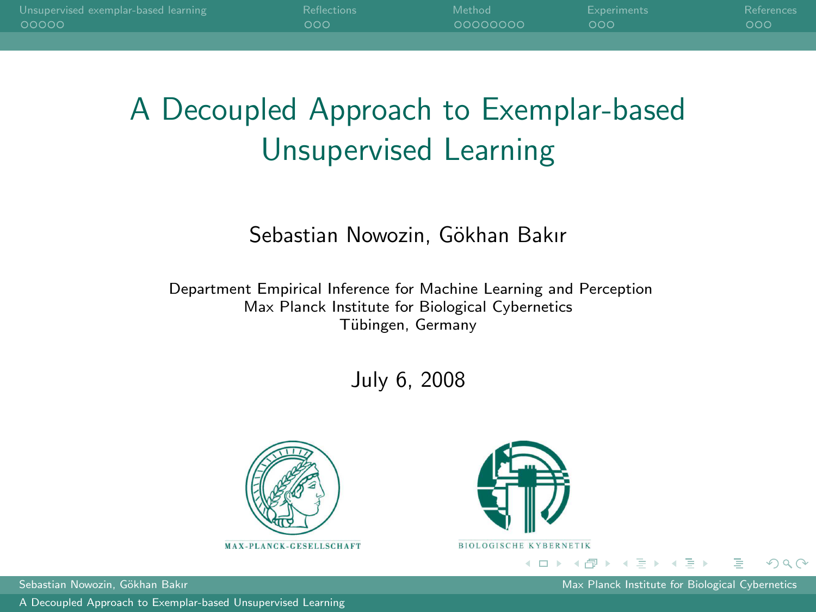| Unsupervised exemplar-based learning | <b>Reflections</b> | Method   | Experiments | References |
|--------------------------------------|--------------------|----------|-------------|------------|
| - 00000                              | റററ                | 00000000 | റററ         | റററ        |
|                                      |                    |          |             |            |

# A Decoupled Approach to Exemplar-based Unsupervised Learning

#### Sebastian Nowozin, Gökhan Bakır

Department Empirical Inference for Machine Learning and Perception Max Planck Institute for Biological Cybernetics Tübingen, Germany

July 6, 2008





[A Decoupled Approach to Exemplar-based Unsupervised Learning](#page-29-0)

Sebastian Nowozin, Gökhan Bakır Max Planck Institute for Biological Cybernetics Cybernetics

<span id="page-0-0"></span> $QQ$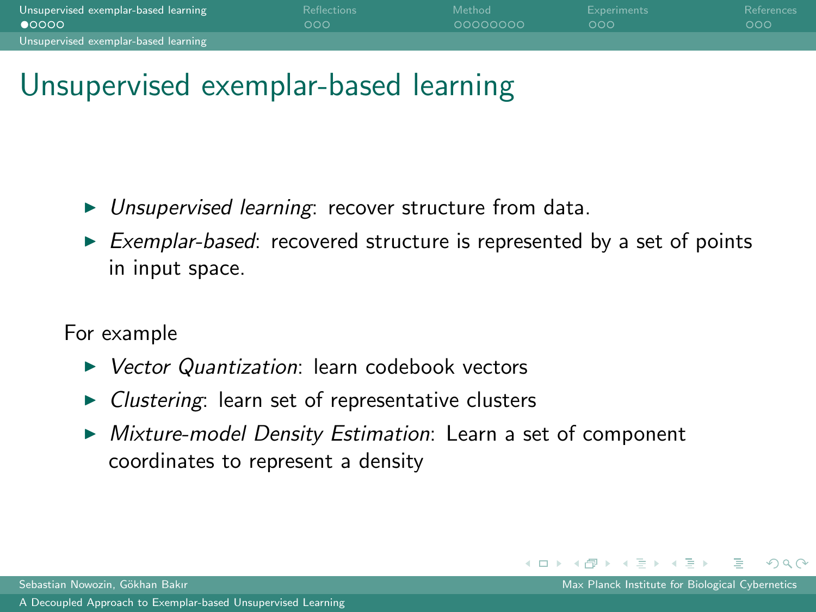| Unsupervised exemplar-based learning | <b>Reflections</b> | Method   | Experiments | References |
|--------------------------------------|--------------------|----------|-------------|------------|
| $\bullet$ 0000                       | റററ                | 00000000 | റററ         | -റററ       |
| Unsupervised exemplar-based learning |                    |          |             |            |

# Unsupervised exemplar-based learning

- $\triangleright$  Unsupervised learning: recover structure from data.
- $\triangleright$  Exemplar-based: recovered structure is represented by a set of points in input space.

For example

- ▶ Vector Quantization: learn codebook vectors
- $\triangleright$  Clustering: learn set of representative clusters
- $\triangleright$  Mixture-model Density Estimation: Learn a set of component coordinates to represent a density

 $\leftarrow$   $\Box$   $\rightarrow$ 

イ何 ▶ イヨ ▶ イヨ ▶

<span id="page-1-0"></span>つへへ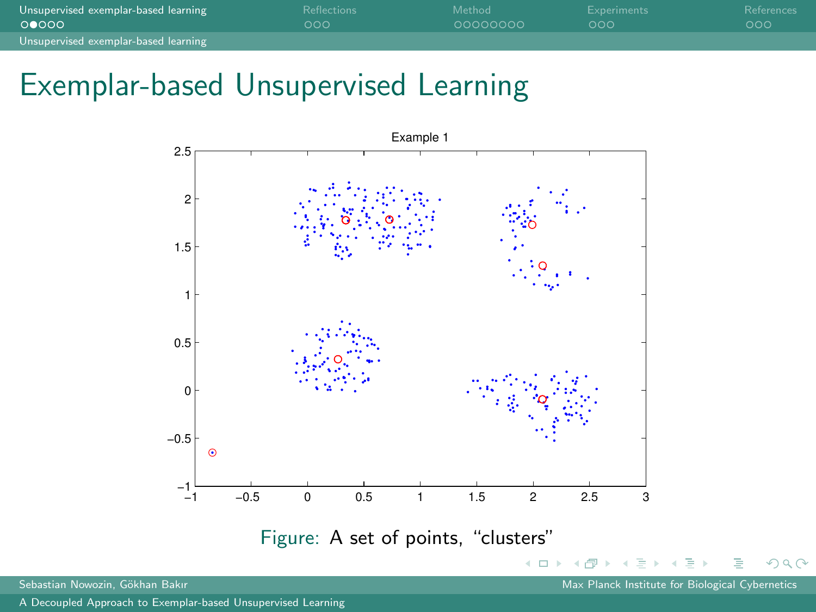| Unsupervised exemplar-based learning | <b>Reflections</b> | Method   | Experiments | References |
|--------------------------------------|--------------------|----------|-------------|------------|
| 00000                                | റററ                | 00000000 | റററ         | റററ        |
| Unsupervised exemplar-based learning |                    |          |             |            |

## Exemplar-based Unsupervised Learning



<span id="page-2-0"></span> $QQ$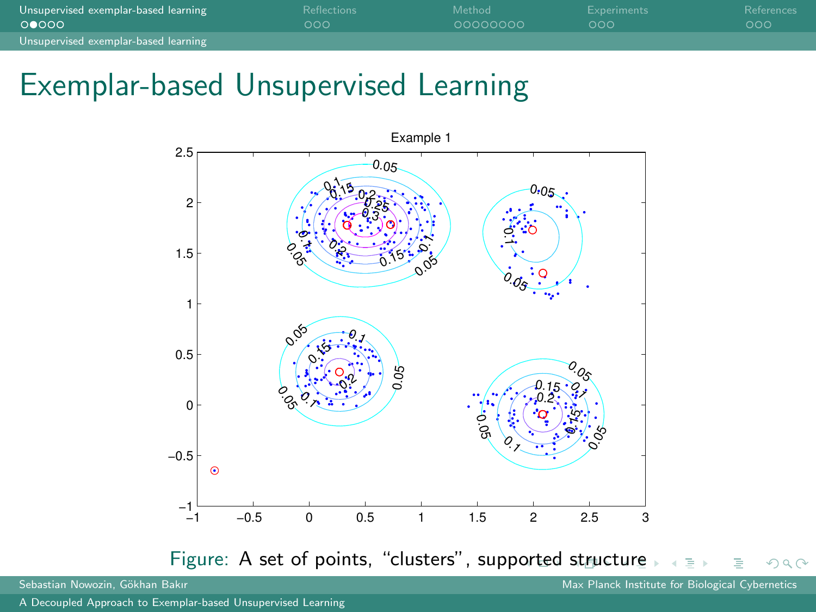| Unsupervised exemplar-based learning | <b>Reflections</b> | Method   | Experiments | References |
|--------------------------------------|--------------------|----------|-------------|------------|
| 00000                                | റററ                | 00000000 | റററ         | റററ        |
| Unsupervised exemplar-based learning |                    |          |             |            |

## Exemplar-based Unsupervised Learning



Sebastian Nowozin, Gökhan Bakır Max Planck Institute for Biological Cybernetics Cybernetics

<span id="page-3-0"></span> $\Omega$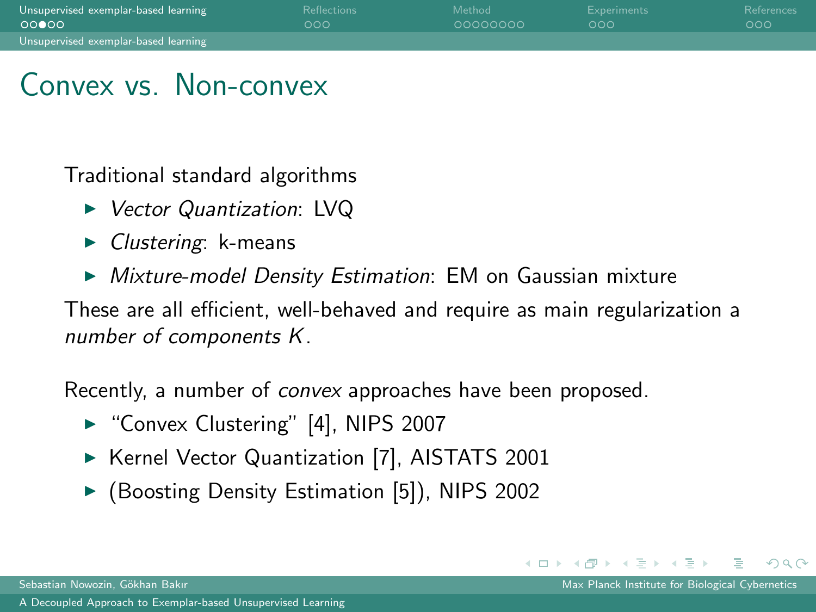| Unsupervised exemplar-based learning | Reflections | Method   | Experiments | References |
|--------------------------------------|-------------|----------|-------------|------------|
| 00000                                | റററ         | 00000000 | റററ         | ാററ        |
| Unsupervised exemplar-based learning |             |          |             |            |

# Convex vs. Non-convex

Traditional standard algorithms

- ► Vector Quantization: LVQ
- $\triangleright$  Clustering: k-means
- $\triangleright$  Mixture-model Density Estimation: EM on Gaussian mixture

These are all efficient, well-behaved and require as main regularization a number of components K.

Recently, a number of convex approaches have been proposed.

- ► "Convex Clustering" [\[4\]](#page-27-1), NIPS 2007
- ▶ Kernel Vector Quantization [\[7\]](#page-27-2), AISTATS 2001
- ▶ (Boosting Density Estimation [\[5\]](#page-27-3)), NIPS 2002

<span id="page-4-0"></span> $\Omega$ 

イロト イ母ト イヨト イヨトー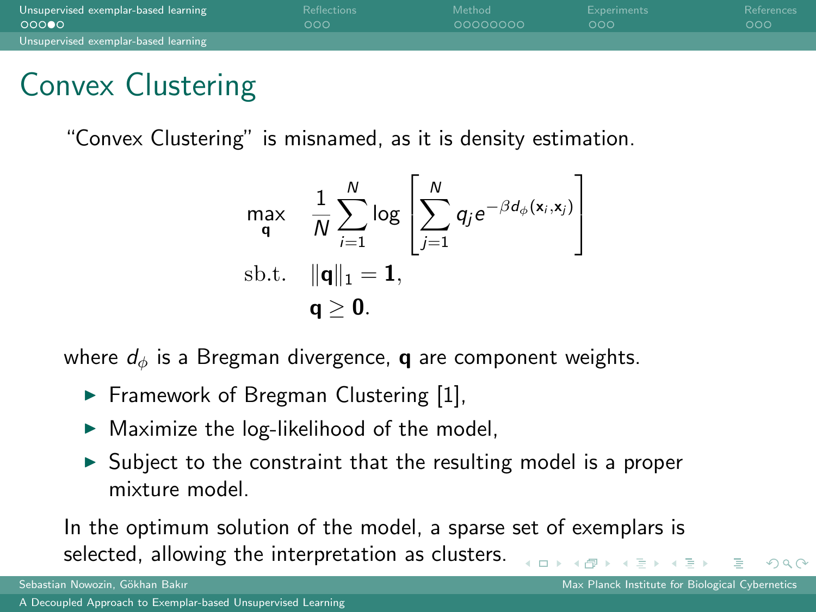| Unsupervised exemplar-based learning | <b>Reflections</b> | Method   | Experiments | References |
|--------------------------------------|--------------------|----------|-------------|------------|
| 00000                                | റററ                | 00000000 | റററ         | റററ        |
| Unsupervised exemplar-based learning |                    |          |             |            |

# Convex Clustering

"Convex Clustering" is misnamed, as it is density estimation.

$$
\begin{array}{ll}\n\mathsf{max} & \frac{1}{N} \sum_{i=1}^{N} \log \left[ \sum_{j=1}^{N} q_j e^{-\beta d_{\phi}(\mathbf{x}_i, \mathbf{x}_j)} \right] \\
\text{sb.t.} & \|\mathbf{q}\|_1 = \mathbf{1}, \\
& \mathbf{q} \geq \mathbf{0}.\n\end{array}
$$

where  $d_{\phi}$  is a Bregman divergence, **q** are component weights.

- $\blacktriangleright$  Framework of Bregman Clustering [\[1\]](#page-27-4),
- $\blacktriangleright$  Maximize the log-likelihood of the model,
- $\triangleright$  Subject to the constraint that the resulting model is a proper mixture model.

In the optimum solution of the model, a sparse set of exemplars is selected, allowing the interpretation as clusters.  $\leftarrow$   $\Box$   $\rightarrow$ 

<span id="page-5-0"></span> $OQ$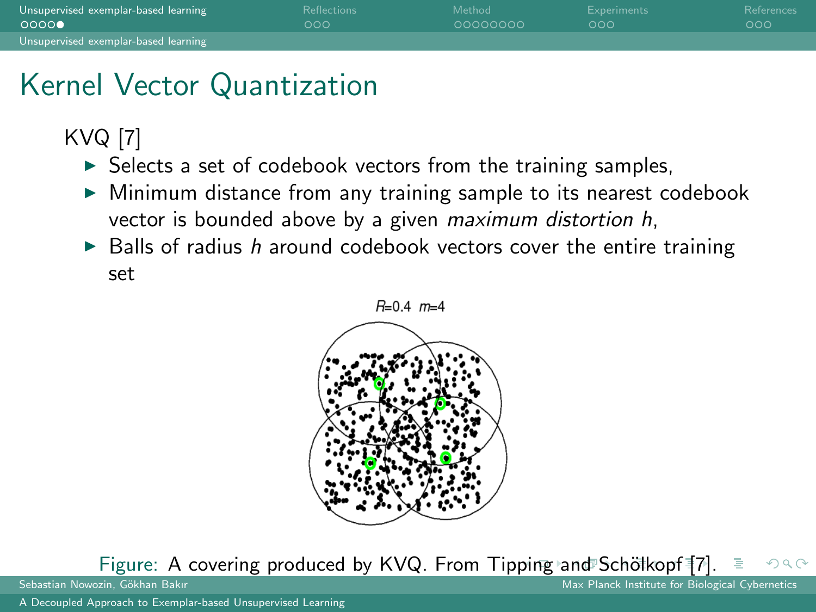| Unsupervised exemplar-based learning | <b>Reflections</b> | Method   | Experiments | References |
|--------------------------------------|--------------------|----------|-------------|------------|
| 0000                                 | 000                | 00000000 | റററ         | റററ        |
| Unsupervised exemplar-based learning |                    |          |             |            |

# Kernel Vector Quantization

KVQ [\[7\]](#page-27-2)

- $\triangleright$  Selects a set of codebook vectors from the training samples,
- $\triangleright$  Minimum distance from any training sample to its nearest codebook vector is bounded above by a given maximum distortion h,
- $\triangleright$  Balls of radius h around codebook vectors cover the entire training set



Figure: A covering produced by KVQ. From Tip[pin](#page-5-0)[g a](#page-7-0)[n](#page-5-0)[d](#page-6-0)[Sc](#page-8-0)[h](#page-0-0)ötk[o](#page-8-0)[pf](#page-0-0) [\[](#page-7-0)[7](#page-27-2)[\].](#page-8-0)<br>Sebastian Nowozin, Gökhan Bakır つQへ

<span id="page-6-0"></span>Max Planck Institute for Biological Cybernetics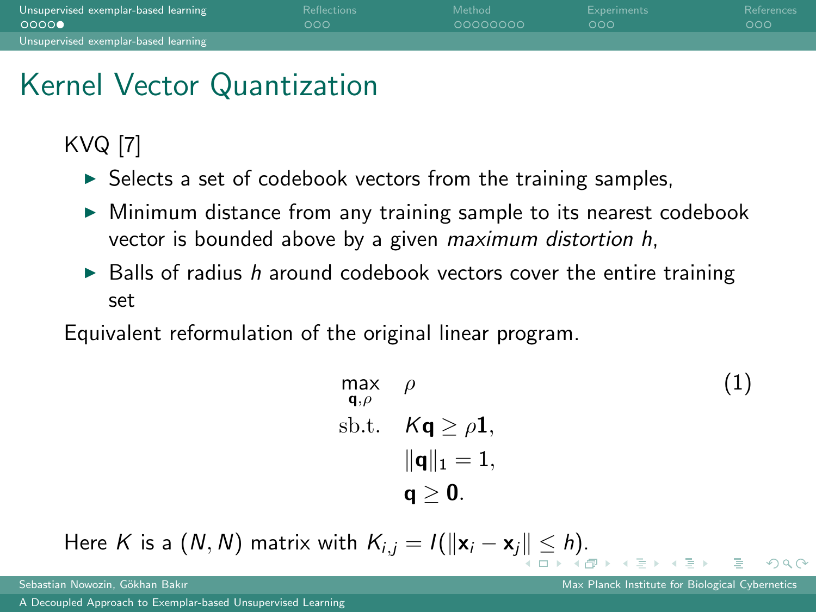| Unsupervised exemplar-based learning | <b>Reflections</b> | Method     | Experiments | References |
|--------------------------------------|--------------------|------------|-------------|------------|
| 0000                                 | റററ                | - coocococ | റററ         | റററ        |
| Unsupervised exemplar-based learning |                    |            |             |            |

# Kernel Vector Quantization

KVQ [\[7\]](#page-27-2)

- $\triangleright$  Selects a set of codebook vectors from the training samples,
- $\triangleright$  Minimum distance from any training sample to its nearest codebook vector is bounded above by a given maximum distortion h,
- $\triangleright$  Balls of radius h around codebook vectors cover the entire training set

Equivalent reformulation of the original linear program.

$$
\begin{array}{ll}\n\max_{\mathbf{q}, \rho} & \rho & \text{(1)} \\
\text{s.t.} & K\mathbf{q} \ge \rho \mathbf{1}, \\
& \|\mathbf{q}\|_1 = 1, \\
& \mathbf{q} \ge \mathbf{0}.\n\end{array}
$$

Here K is a  $(N, N)$  $(N, N)$  matrix wit[h](#page-8-0)  $K_{i,j} = I(||\mathbf{x}_i - \mathbf{x}_j|| \leq h)$ [.](#page-6-0)

<span id="page-7-0"></span>つひひ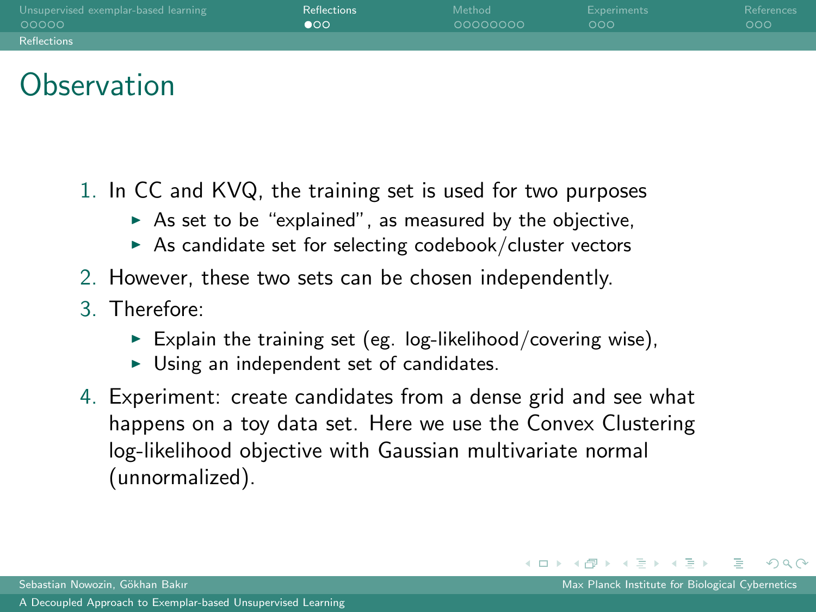| Unsupervised exemplar-based learning | <b>Reflections</b> | Method   | Experiments | References |
|--------------------------------------|--------------------|----------|-------------|------------|
| -00000                               | $\bullet$          | 00000000 | റററ         | 000        |
| <b>Reflections</b>                   |                    |          |             |            |

# **Observation**

- 1. In CC and KVQ, the training set is used for two purposes
	- $\triangleright$  As set to be "explained", as measured by the objective,
	- $\triangleright$  As candidate set for selecting codebook/cluster vectors
- 2. However, these two sets can be chosen independently.
- 3. Therefore:
	- Explain the training set (eg. log-likelihood/covering wise),
	- $\triangleright$  Using an independent set of candidates.
- 4. Experiment: create candidates from a dense grid and see what happens on a toy data set. Here we use the Convex Clustering log-likelihood objective with Gaussian multivariate normal (unnormalized).

<span id="page-8-0"></span> $OQ$ 

イロト イ母 トイラ トイラトー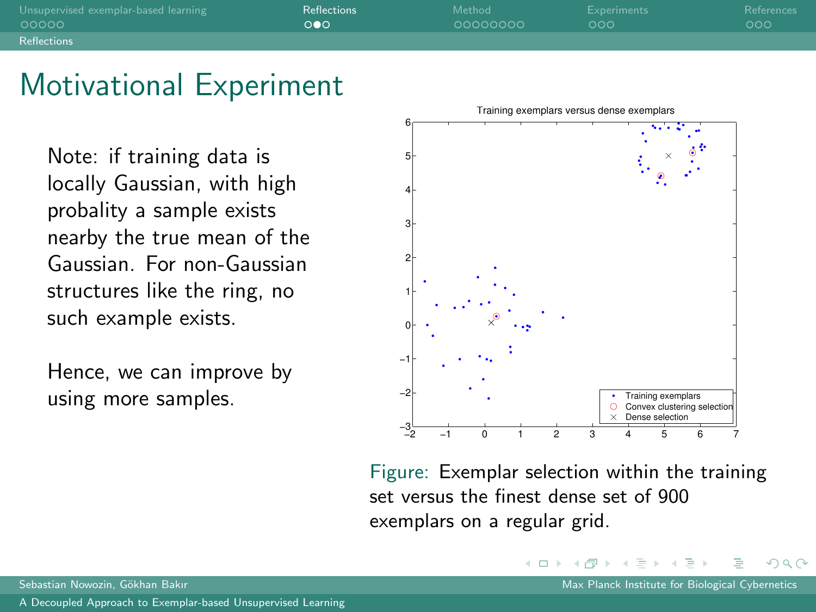| Unsupervised exemplar-based learning | Reflections | Method   | Experiments | References |
|--------------------------------------|-------------|----------|-------------|------------|
| 00000                                | റഹ          | 00000000 | റററ         | 000        |
| Reflections                          |             |          |             |            |

#### Motivational Experiment

Note: if training data is locally Gaussian, with high probality a sample exists nearby the true mean of the Gaussian. For non-Gaussian structures like the ring, no such example exists.

Hence, we can improve by using more samples.



Figure: Exemplar selection within the training set versus the finest dense set of 900 exemplars on a regular grid.

 $\leftarrow$   $\Box$   $\rightarrow$ 

つひひ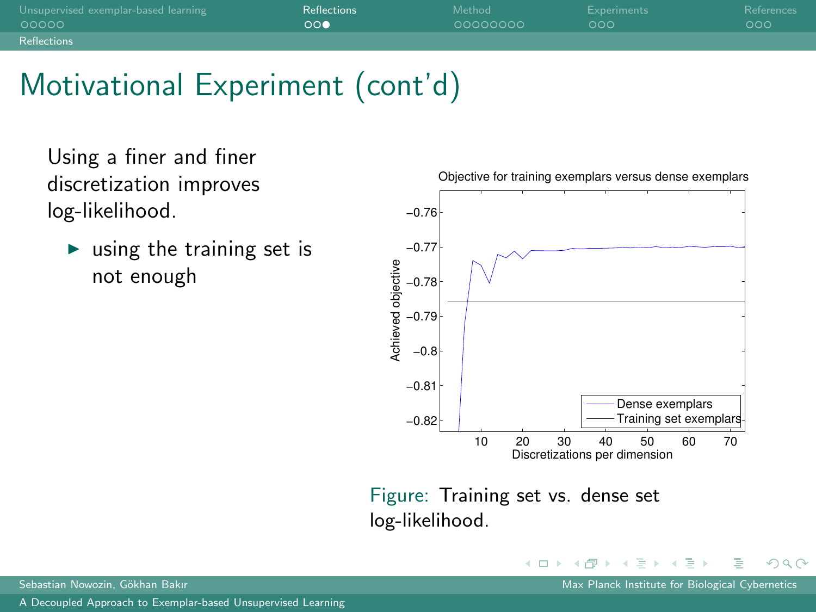| Unsupervised exemplar-based learning | Reflections | Method   | Experiments | References |
|--------------------------------------|-------------|----------|-------------|------------|
| - 00000                              | ററ          | 00000000 | റററ         | 000        |
| Reflections                          |             |          |             |            |

# Motivational Experiment (cont'd)

Using a finer and finer discretization improves log-likelihood.

 $\triangleright$  using the training set is not enough



Figure: Training set vs. dense set log-likelihood.

 $\leftarrow$   $\Box$   $\rightarrow$ 

<span id="page-10-0"></span> $QQ$ 

 $\mathcal{A} \oplus \mathcal{B}$   $\rightarrow$   $\mathcal{A} \oplus \mathcal{B}$   $\rightarrow$   $\mathcal{A}$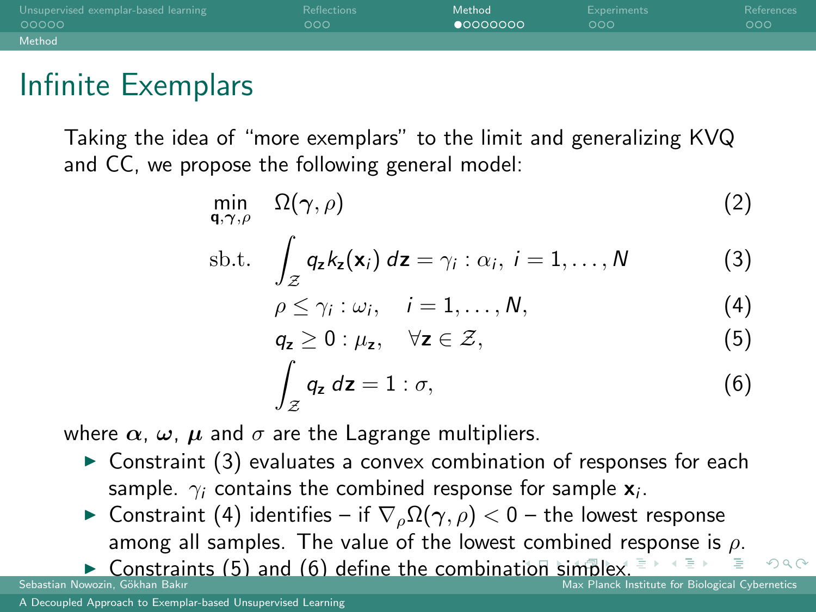| Unsupervised exemplar-based learning | <b>Reflections</b> | Method            | <b>Experiments</b> | References |
|--------------------------------------|--------------------|-------------------|--------------------|------------|
| 00000                                | 000                | $\bullet$ 0000000 | 000                | 000        |
| Method                               |                    |                   |                    |            |

## Infinite Exemplars

Taking the idea of "more exemplars" to the limit and generalizing KVQ and CC, we propose the following general model:

$$
\min_{\mathbf{q},\gamma,\rho} \quad \Omega(\gamma,\rho) \tag{2}
$$

$$
\text{sb.t.} \quad \int_{\mathcal{Z}} q_{\mathbf{z}} k_{\mathbf{z}}(\mathbf{x}_i) \, d\mathbf{z} = \gamma_i : \alpha_i, \ i = 1, \dots, N \tag{3}
$$

<span id="page-11-5"></span>
$$
\rho \leq \gamma_i : \omega_i, \quad i = 1, \dots, N,
$$
\n(4)

<span id="page-11-2"></span>
$$
q_{z} \geq 0: \mu_{z}, \quad \forall z \in \mathcal{Z}, \tag{5}
$$

<span id="page-11-4"></span><span id="page-11-3"></span>
$$
\int_{\mathcal{Z}} q_{z} dz = 1 : \sigma,
$$
\n(6)

where  $\alpha$ ,  $\omega$ ,  $\mu$  and  $\sigma$  are the Lagrange multipliers.

- $\triangleright$  Constraint [\(3\)](#page-11-1) evaluates a convex combination of responses for each sample.  $\gamma_i$  contains the combined response for sample  $\mathbf{x}_i.$
- $\blacktriangleright$  Constraint [\(4\)](#page-11-2) identifies if  $\nabla_{\rho} \Omega(\gamma, \rho) < 0$  the lowest response among all samples. The value of the lowest combined re[sp](#page-23-0)[o](#page-24-0)[n](#page-10-0)[s](#page-11-0)[e](#page-23-0) [is](#page-24-0)  $\rho$ .

**IMPLEM** Constraints [\(5\)](#page-11-3) and [\(6\)](#page-11-4) define the combina[tio](#page-10-0)n [si](#page-12-0)[m](#page-10-0)[pl](#page-11-0)[e](#page-12-0)[x.](#page-10-0)

<span id="page-11-1"></span><span id="page-11-0"></span> $\Omega$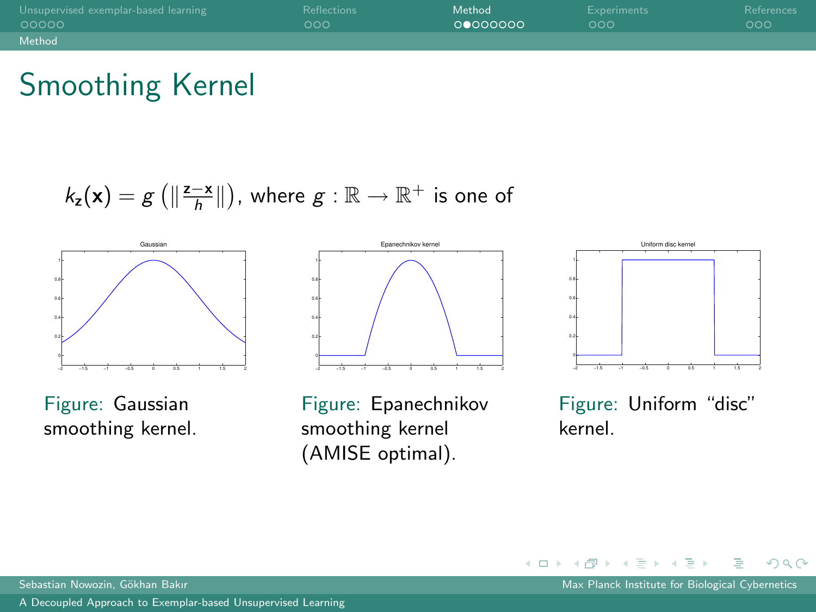| Unsupervised exemplar-based learning | Reflections | Method   | Experiments | References |
|--------------------------------------|-------------|----------|-------------|------------|
| 00000                                | റററ         | 00000000 | റററ         | റററ        |
| Method                               |             |          |             |            |

# Smoothing Kernel

 $k_\mathsf{z}(\mathsf{x}) = g\left(\left\lVert\frac{\mathsf{z}-\mathsf{x}}{h}\right\rVert\right)$ , where  $g:\mathbb{R}\rightarrow\mathbb{R}^+$  is one of



Figure: Gaussian smoothing kernel.



Figure: Epanechnikov smoothing kernel (AMISE optimal).



Figure: Uniform "disc" kernel.

Sebastian Nowozin, Gökhan Bakır Max Planck Institute for Biological Cybernetics Cybernetics

<span id="page-12-0"></span> $QQ$ 

医阿雷氏阿雷氏

 $\leftarrow$   $\Box$   $\rightarrow$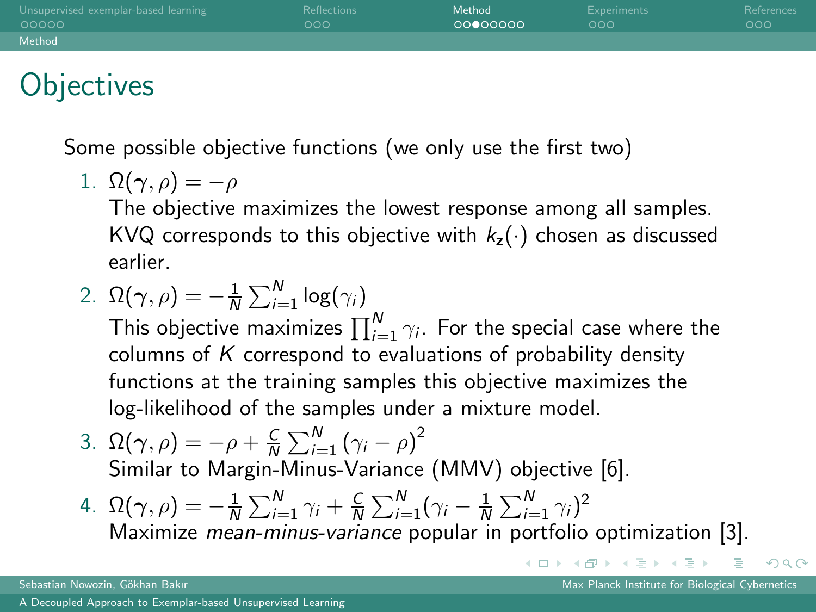| Unsupervised exemplar-based learning | <b>Reflections</b> | Method   | Experiments | References |
|--------------------------------------|--------------------|----------|-------------|------------|
| 00000                                | റററ                | ാരമറററററ | റററ         | LOOC       |
| Method                               |                    |          |             |            |

# **Objectives**

Some possible objective functions (we only use the first two)

1.  $\Omega(\gamma,\rho) = -\rho$ 

The objective maximizes the lowest response among all samples. KVQ corresponds to this objective with  $k_z(\cdot)$  chosen as discussed earlier.

2. 
$$
\Omega(\gamma, \rho) = -\frac{1}{N} \sum_{i=1}^{N} \log(\gamma_i)
$$

This objective maximizes  $\prod_{i=1}^N \gamma_i.$  For the special case where the columns of  $K$  correspond to evaluations of probability density functions at the training samples this objective maximizes the log-likelihood of the samples under a mixture model.

- 3.  $\Omega(\gamma,\rho) = -\rho + \frac{C}{N} \sum_{i=1}^{N} (\gamma_i \rho)^2$ Similar to Margin-Minus-Variance (MMV) objective [\[6\]](#page-27-5).
- 4.  $\Omega(\gamma,\rho) = -\frac{1}{N} \sum_{i=1}^{N} \gamma_i + \frac{C}{N} \sum_{i=1}^{N} (\gamma_i \frac{1}{N} \sum_{i=1}^{N} \gamma_i)^2$ Maximize mean-minus-variance popular in portfolio optimization [\[3\]](#page-27-6).

 $OQ$ 

 $A \cup B \rightarrow A \oplus B \rightarrow A \oplus B \rightarrow A \oplus B \rightarrow B \oplus B$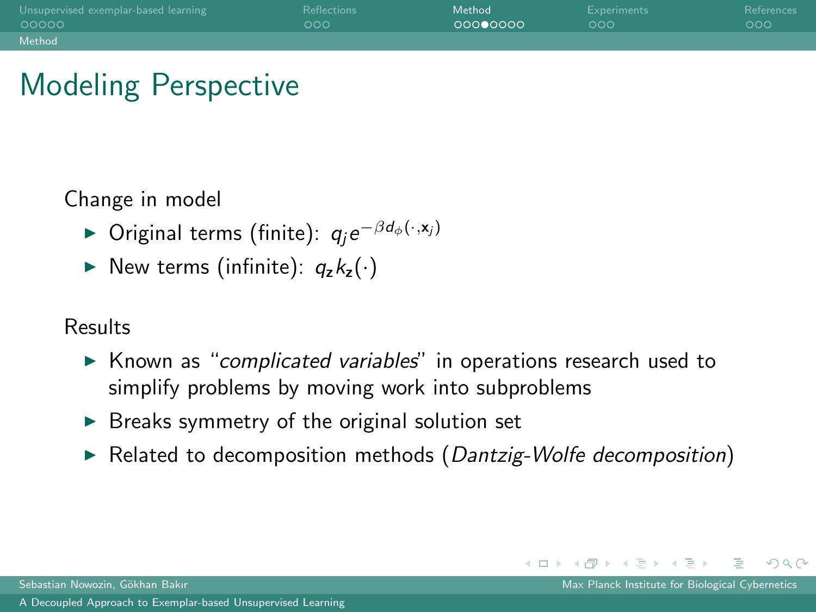| Unsupervised exemplar-based learning | Reflections | Method   | Experiments | References |
|--------------------------------------|-------------|----------|-------------|------------|
| 00000                                | റററ         | 00000000 | റററ         | റററ        |
| Method                               |             |          |             |            |

# Modeling Perspective

Change in model

- ► Original terms (finite):  $q_j e^{-\beta d_{\phi}(\cdot, \mathbf{x}_j)}$
- New terms (infinite):  $q_z k_z(\cdot)$

#### Results

- ► Known as "complicated variables" in operations research used to simplify problems by moving work into subproblems
- $\triangleright$  Breaks symmetry of the original solution set
- $\triangleright$  Related to decomposition methods (Dantzig-Wolfe decomposition)

Sebastian Nowozin, Gökhan Bakır Max Planck Institute for Biological Cybernetics

 $OQ$ 

イロト イ母ト イラト イラトー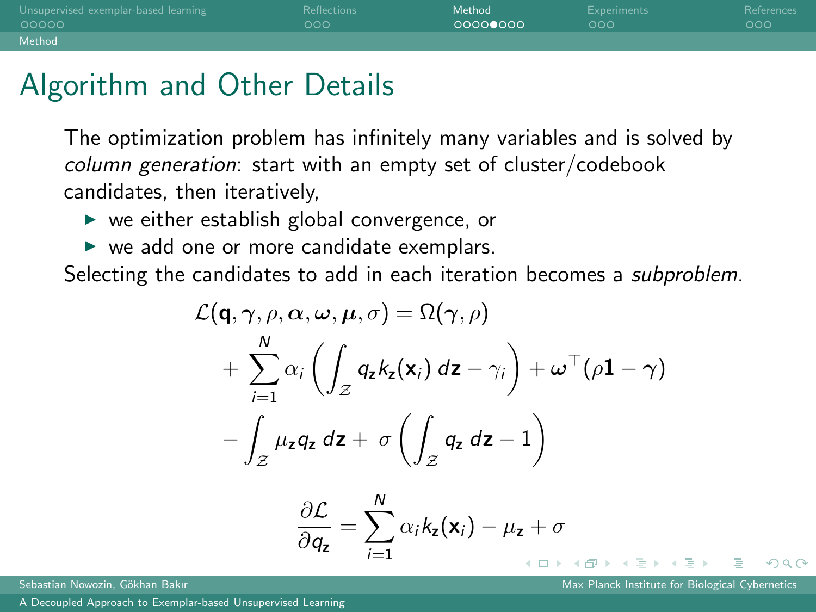| Unsupervised exemplar-based learning | <b>Reflections</b> | Method  | Experiments | References |
|--------------------------------------|--------------------|---------|-------------|------------|
| 00000                                | റററ                | ാററററെറ | റററ         | 000        |
| Method                               |                    |         |             |            |

# Algorithm and Other Details

The optimization problem has infinitely many variables and is solved by column generation: start with an empty set of cluster/codebook candidates, then iteratively,

- $\triangleright$  we either establish global convergence, or
- $\triangleright$  we add one or more candidate exemplars.

Selecting the candidates to add in each iteration becomes a *subproblem*.

$$
\mathcal{L}(\mathbf{q}, \gamma, \rho, \alpha, \omega, \mu, \sigma) = \Omega(\gamma, \rho)
$$
  
+ 
$$
\sum_{i=1}^{N} \alpha_i \left( \int_{\mathcal{Z}} q_z k_z(\mathbf{x}_i) \, dz - \gamma_i \right) + \omega^{\top} (\rho \mathbf{1} - \gamma)
$$
  
- 
$$
\int_{\mathcal{Z}} \mu_z q_z \, dz + \sigma \left( \int_{\mathcal{Z}} q_z \, dz - 1 \right)
$$

$$
\frac{\partial \mathcal{L}}{\partial q_{z}} = \sum_{i=1}^{N} \alpha_{i} k_{z}(\mathbf{x}_{i}) - \mu_{z} + \sigma
$$

つひひ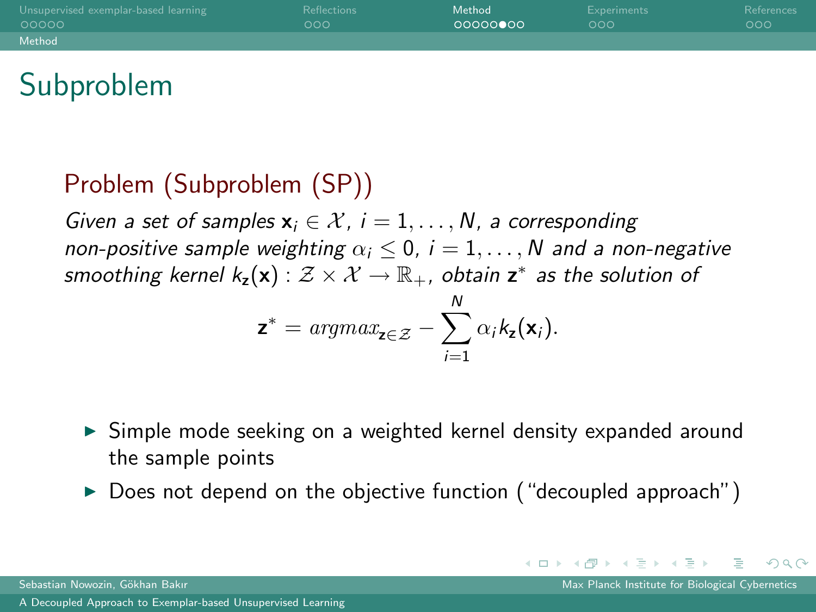| Unsupervised exemplar-based learning | <b>Reflections</b> | Method   | Experiments | References |
|--------------------------------------|--------------------|----------|-------------|------------|
| 00000                                | 000                | 00000000 | റററ         | 000        |
| Method                               |                    |          |             |            |

# Subproblem

#### Problem (Subproblem (SP))

Given a set of samples  $x_i \in \mathcal{X}$ ,  $i = 1, \ldots, N$ , a corresponding non-positive sample weighting  $\alpha_i \leq 0$ ,  $i = 1, \ldots, N$  and a non-negative smoothing kernel  $k_\mathsf{z}(\mathsf{x}) : \mathcal{Z} \times \mathcal{X} \to \mathbb{R}_+$ , obtain  $\mathsf{z}^*$  as the solution of

$$
\mathbf{z}^* = argmax_{\mathbf{z} \in \mathcal{Z}} - \sum_{i=1}^N \alpha_i k_{\mathbf{z}}(\mathbf{x}_i).
$$

- ► Simple mode seeking on a weighted kernel density expanded around the sample points
- $\triangleright$  Does not depend on the objective function ("decoupled approach")

<span id="page-16-0"></span>つへへ

イロト イ母ト イヨト イヨト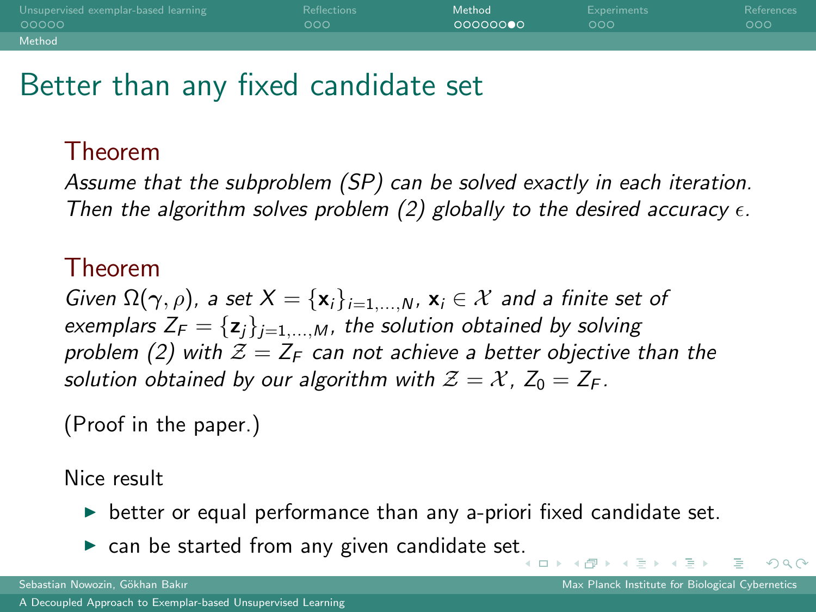| Unsupervised exemplar-based learning | <b>Reflections</b> | Method            | Experiments | References |
|--------------------------------------|--------------------|-------------------|-------------|------------|
| 00000                                | റററ                | - <u>ററററററ</u> െ | റററ         | 000        |
| Method                               |                    |                   |             |            |

## Better than any fixed candidate set

#### Theorem

Assume that the subproblem (SP) can be solved exactly in each iteration. Then the algorithm solves problem [\(2\)](#page-11-5) globally to the desired accuracy  $\epsilon$ .

#### Theorem

Given  $\Omega(\gamma, \rho)$ , a set  $X = {\mathbf{x}_i}_{i=1,...,N}$ ,  $\mathbf{x}_i \in \mathcal{X}$  and a finite set of exemplars  $Z_F = \{z_i\}_{i=1,\dots,M}$ , the solution obtained by solving problem [\(2\)](#page-11-5) with  $\mathcal{Z} = Z_F$  can not achieve a better objective than the solution obtained by our algorithm with  $\mathcal{Z} = \mathcal{X}$ ,  $Z_0 = Z_F$ .

(Proof in the paper.)

Nice result

- $\triangleright$  better or equal performance than any a-priori fixed candidate set.
- $\triangleright$  can be started from any given candidate se[t.](#page-16-0)

<span id="page-17-0"></span> $QQ$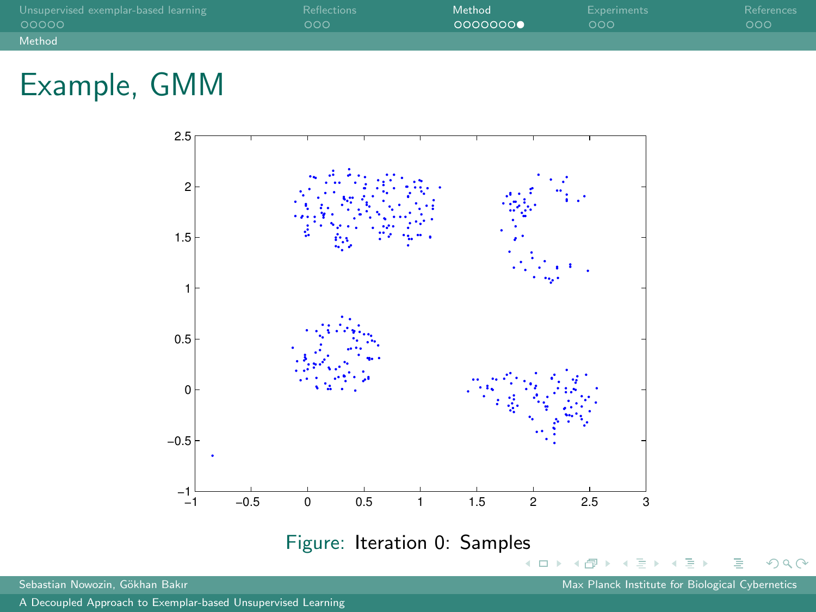| Unsupervised exemplar-based learning | Reflections | Method  | Experiments | References |
|--------------------------------------|-------------|---------|-------------|------------|
| 00000                                | റററ         | 0000000 | റററ         | 000        |
| Method                               |             |         |             |            |



[A Decoupled Approach to Exemplar-based Unsupervised Learning](#page-0-0)

<span id="page-18-0"></span> $2Q$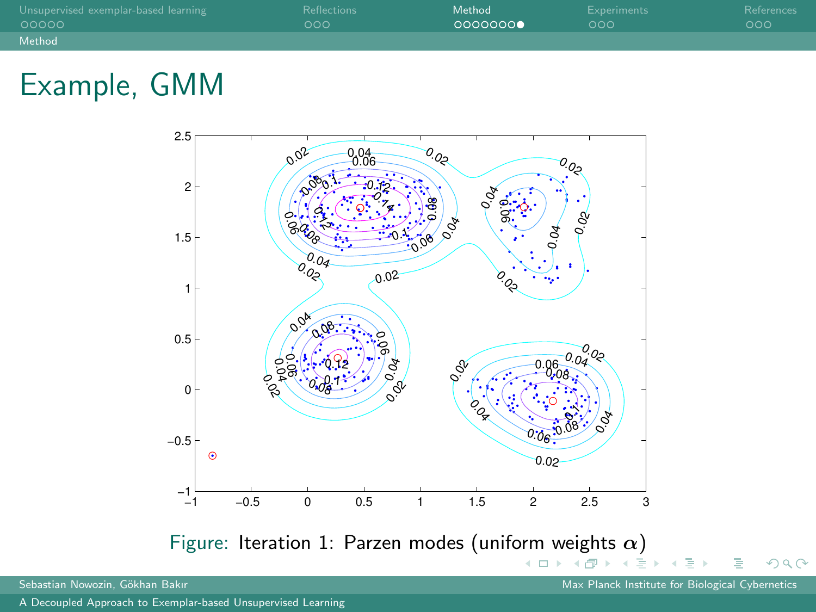| Unsupervised exemplar-based learning | Reflections | Method  | Experiments | References |
|--------------------------------------|-------------|---------|-------------|------------|
| 00000                                | റററ         | 0000000 | റററ         | 000        |
| Method                               |             |         |             |            |



 $\rightarrow$ 

<span id="page-19-0"></span>∍

 $2Q$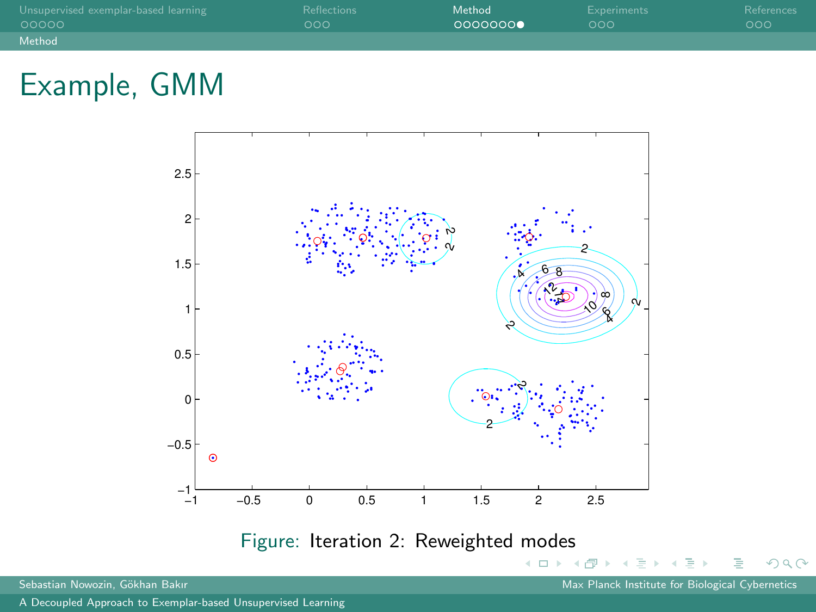| Unsupervised exemplar-based learning | Reflections | Method           | Experiments | References |
|--------------------------------------|-------------|------------------|-------------|------------|
| 00000                                | റററ         | ∩QQQQQQ <b>⊜</b> | റററ         | 000        |
| Method                               |             |                  |             |            |



Sebastian Nowozin, Gökhan Bakır Max Planck Institute for Biological Cybernetics Cybernetics

<span id="page-20-0"></span> $2Q$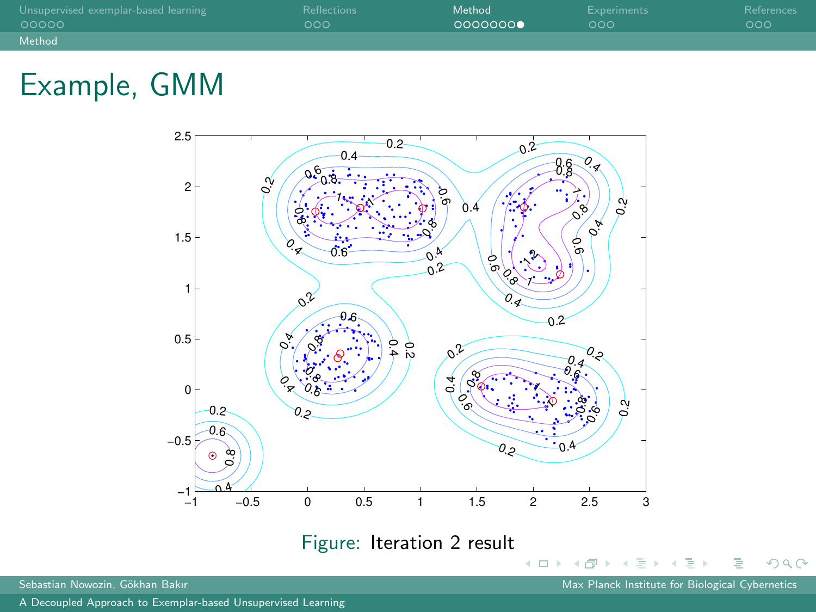| Unsupervised exemplar-based learning | Reflections | Method  | Experiments | References |
|--------------------------------------|-------------|---------|-------------|------------|
| 00000                                | റററ         | 0000000 | റററ         | 000        |
| Method                               |             |         |             |            |



Sebastian Nowozin, Gökhan Bakır Max Planck Institute for Biological Cybernetics Cybernetics

 $2Q$ 

<span id="page-21-0"></span>∍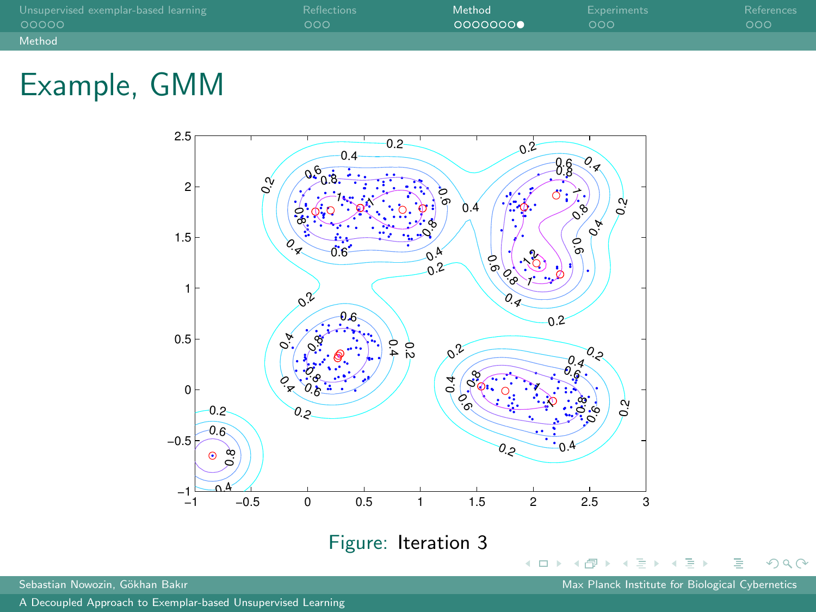| Unsupervised exemplar-based learning | Reflections | Method  | Experiments | References |
|--------------------------------------|-------------|---------|-------------|------------|
| 00000                                | റററ         | 0000000 | റററ         | 000        |
| Method                               |             |         |             |            |



Sebastian Nowozin, Gökhan Bakır Max Planck Institute for Biological Cybernetics Cybernetics

 $2Q$ 

∍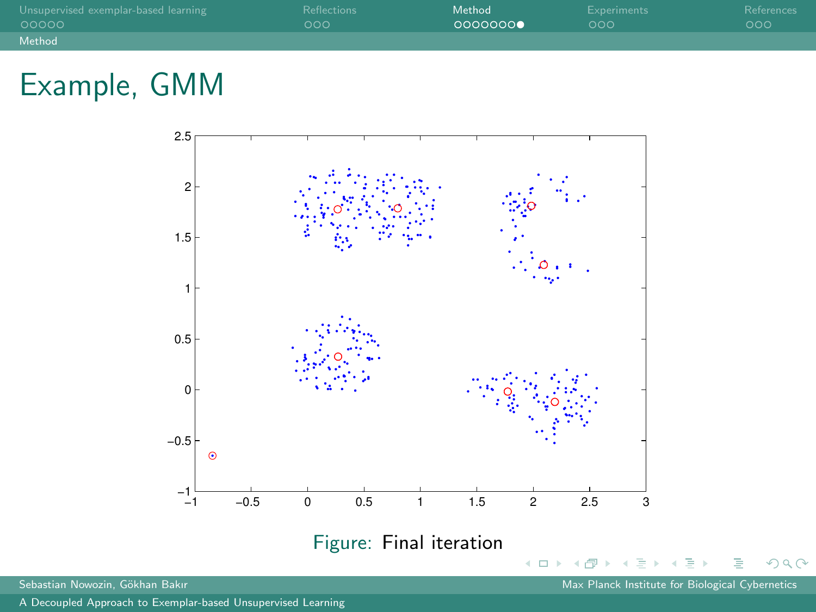| Unsupervised exemplar-based learning | <b>Reflections</b> | Method  | Experiments | References |
|--------------------------------------|--------------------|---------|-------------|------------|
| 00000                                | LOOOL              | 0000000 | റററ         | 000        |
| Method                               |                    |         |             |            |



 $\rightarrow$ ∍ <span id="page-23-0"></span> $2Q$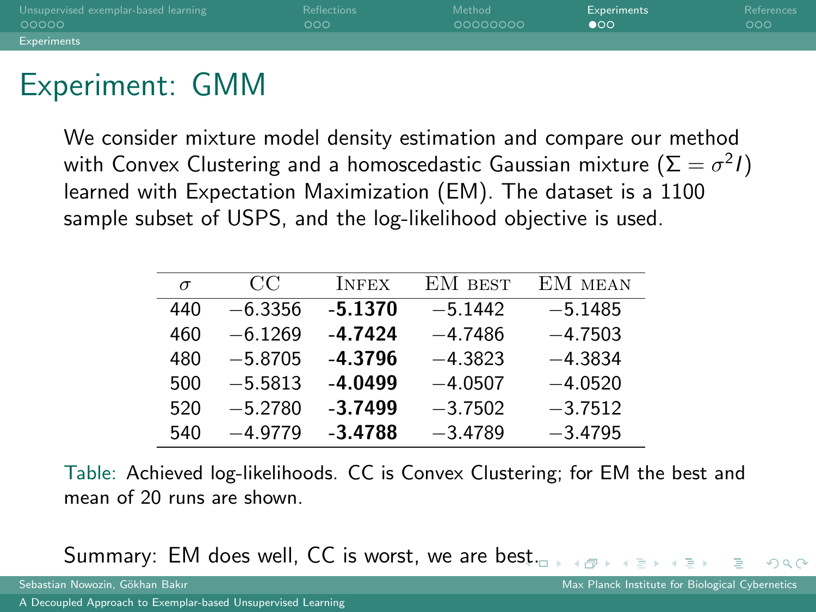| Unsupervised exemplar-based learning | <b>Reflections</b> | Method   | Experiments | References |
|--------------------------------------|--------------------|----------|-------------|------------|
| 00000                                | റററ                | 00000000 | ൈ           | 000        |
| <b>Experiments</b>                   |                    |          |             |            |

## Experiment: GMM

We consider mixture model density estimation and compare our method with Convex Clustering and a homoscedastic Gaussian mixture  $(\Sigma = \sigma^2 I)$ learned with Expectation Maximization (EM). The dataset is a 1100 sample subset of USPS, and the log-likelihood objective is used.

| $\sigma$ | CC        | <b>INFEX</b> | EM BEST   | EM MEAN   |
|----------|-----------|--------------|-----------|-----------|
| 440      | $-6.3356$ | $-5.1370$    | $-5.1442$ | $-5.1485$ |
| 460      | $-6.1269$ | -4.7424      | $-4.7486$ | $-4.7503$ |
| 480      | $-5.8705$ | $-4.3796$    | $-4.3823$ | $-4.3834$ |
| 500      | $-5.5813$ | $-4.0499$    | $-4.0507$ | $-4.0520$ |
| 520      | $-5.2780$ | $-3.7499$    | $-3.7502$ | $-3.7512$ |
| 540      | $-4.9779$ | $-3.4788$    | $-3.4789$ | $-3.4795$ |

Table: Achieved log-likelihoods. CC is Convex Clustering; for EM the best and mean of 20 runs are shown.

Summary: EM does well, CC is worst, we are be[st.](#page-23-0)

<span id="page-24-0"></span> $OQ$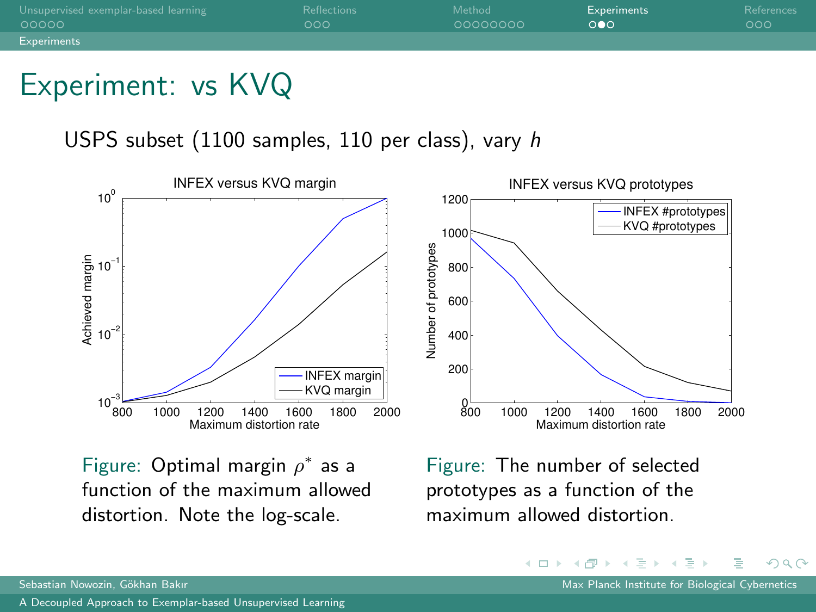| Unsupervised exemplar-based learning | <b>Reflections</b> | Method   | <b>Experiments</b> | References |
|--------------------------------------|--------------------|----------|--------------------|------------|
| 00000                                | റററ                | 00000000 | ററെ                | 000        |
| <b>Experiments</b>                   |                    |          |                    |            |

## Experiment: vs KVQ

USPS subset (1100 samples, 110 per class), vary h



Figure: Optimal margin  $\rho^*$  as a function of the maximum allowed distortion. Note the log-scale.

Figure: The number of selected prototypes as a function of the maximum allowed distortion.

イロト イ押ト イヨト イヨト

 $QQ$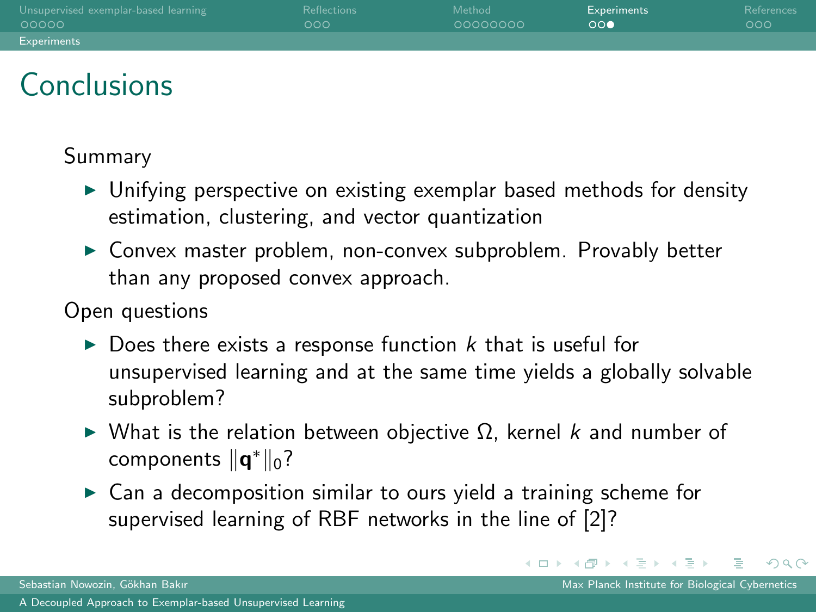| Unsupervised exemplar-based learning | <b>Reflections</b> | Method    | Experiments | References |
|--------------------------------------|--------------------|-----------|-------------|------------|
| 00000                                | 000                | -00000000 | ററ          | 000        |
| <b>Experiments</b>                   |                    |           |             |            |

# **Conclusions**

#### Summary

- $\triangleright$  Unifying perspective on existing exemplar based methods for density estimation, clustering, and vector quantization
- $\triangleright$  Convex master problem, non-convex subproblem. Provably better than any proposed convex approach.

#### Open questions

- $\triangleright$  Does there exists a response function k that is useful for unsupervised learning and at the same time yields a globally solvable subproblem?
- $\triangleright$  What is the relation between objective Ω, kernel k and number of components  $\|\mathbf{q}^*\|_0$ ?
- $\triangleright$  Can a decomposition similar to ours yield a training scheme for supervised learning of RBF networks in the line of [\[2\]](#page-27-7)?

 $QQ$ 

イロト イ母ト イラト イラトー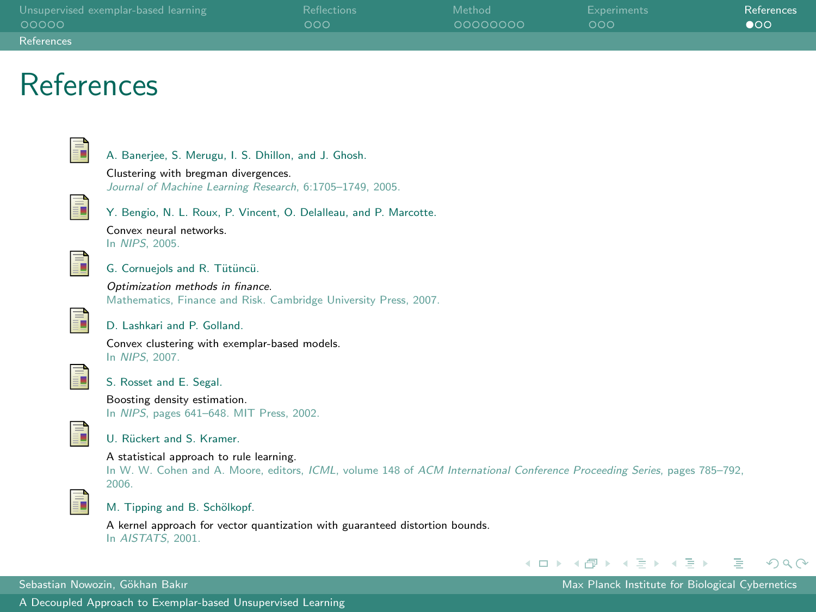| Unsupervised exemplar-based learning | Reflections | Method   | Experiments | References   |
|--------------------------------------|-------------|----------|-------------|--------------|
| 00000                                | റററ         | 00000000 | റററ         | $\bullet$ 00 |
| References                           |             |          |             |              |

#### References

<span id="page-27-4"></span>

A. Banerjee, S. Merugu, I. S. Dhillon, and J. Ghosh.

Clustering with bregman divergences. Journal of Machine Learning Research, 6:1705–1749, 2005.

<span id="page-27-7"></span>

Y. Bengio, N. L. Roux, P. Vincent, O. Delalleau, and P. Marcotte.

<span id="page-27-6"></span>

Convex neural networks. G. Cornuejols and R. Tütüncü.

In NIPS, 2005.

Optimization methods in finance. Mathematics, Finance and Risk. Cambridge University Press, 2007.

<span id="page-27-1"></span>

D. Lashkari and P. Golland.

Convex clustering with exemplar-based models. In NIPS, 2007.

<span id="page-27-3"></span>

S. Rosset and E. Segal.

Boosting density estimation. In NIPS, pages 641–648. MIT Press, 2002.

<span id="page-27-5"></span>

#### U. Rückert and S. Kramer.

A statistical approach to rule learning.

In W. W. Cohen and A. Moore, editors, *ICML*, volume 148 of *ACM International Conference Proceeding Series*, pages 785–792, 2006.

<span id="page-27-2"></span>

M. Tipping and B. Schölkopf.

A kernel approach for vector quantization with guaranteed distortion bounds. In AISTATS, 2001.



Sebastian Nowozin, Gökhan Bakır Max Planck Institute for Biological Cybernetics

イロト イ母 トイラ トイラト

<span id="page-27-0"></span> $QQ$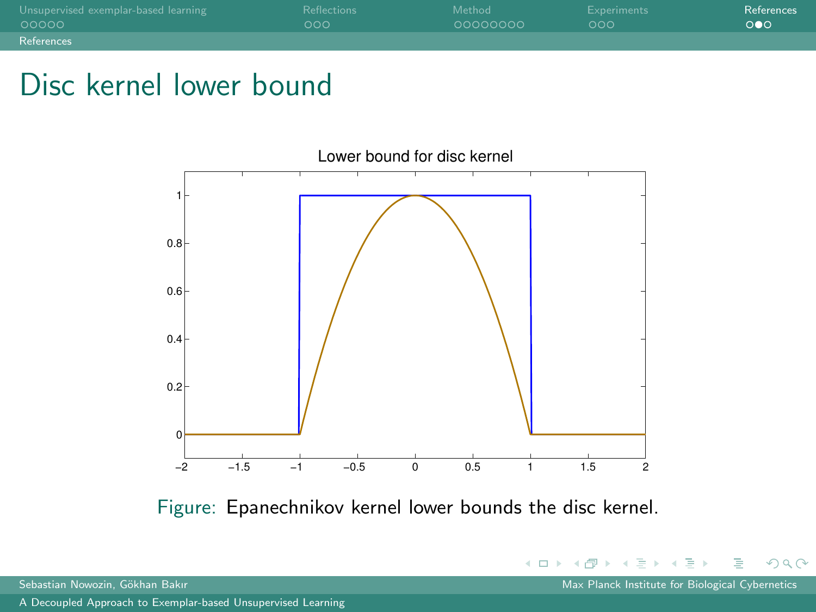| Unsupervised exemplar-based learning | <b>Reflections</b> | Method   | Experiments | References |
|--------------------------------------|--------------------|----------|-------------|------------|
| 00000                                | റററ                | 00000000 | റററ         | ററെ        |
| References                           |                    |          |             |            |

#### Disc kernel lower bound



Figure: Epanechnikov kernel lower bounds the disc kernel.

<span id="page-28-0"></span> $QQ$ 

イロト イ母ト イミト イミト